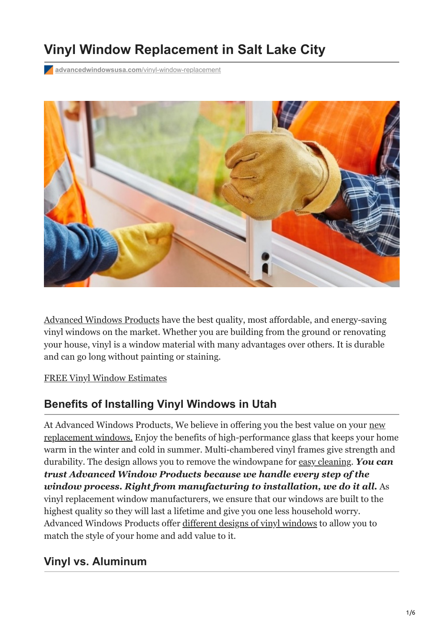# **Vinyl Window Replacement in Salt Lake City**

**[advancedwindowsusa.com](https://advancedwindowsusa.com/vinyl-window-replacement)/vinyl-window-replacement** 



[Advanced Windows Products](https://advancedwindowsusa.com/) have the best quality, most affordable, and energy-saving vinyl windows on the market. Whether you are building from the ground or renovating your house, vinyl is a window material with many advantages over others. It is durable and can go long without painting or staining.

#### [FREE Vinyl Window Estimates](tel:+18015059622)

### **Benefits of Installing Vinyl Windows in Utah**

At Advanced Windows Products, We believe in offering you the best value on your new [replacement windows. Enjoy the benefits of high-performance glass that keeps your ho](https://advancedwindowsusa.com/salt-lake-city-window-replacement-company)me warm in the winter and cold in summer. Multi-chambered vinyl frames give strength and durability. The design allows you to remove the windowpane for [easy cleaning](https://advancedwindowsusa.com/dos-and-donts-for-cleaning-your-vinyl-windows). *You can trust Advanced Window Products because we handle every step of the window process. Right from manufacturing to installation, we do it all.* As vinyl replacement window manufacturers, we ensure that our windows are built to the highest quality so they will last a lifetime and give you one less household worry. Advanced Windows Products offer [different designs of vinyl windows](https://advancedwindowsusa.com/windows/) to allow you to match the style of your home and add value to it.

### **Vinyl vs. Aluminum**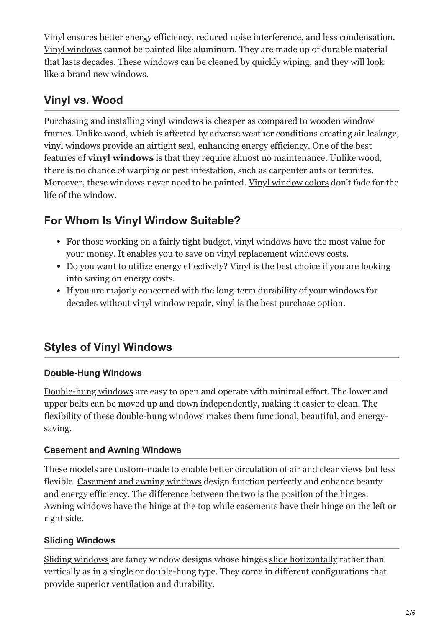Vinyl ensures better energy efficiency, reduced noise interference, and less condensation. [Vinyl windows](https://advancedwindowsusa.com/vinyl-window-replacement) cannot be painted like aluminum. They are made up of durable material that lasts decades. These windows can be cleaned by quickly wiping, and they will look like a brand new windows.

## **Vinyl vs. Wood**

Purchasing and installing vinyl windows is cheaper as compared to wooden window frames. Unlike wood, which is affected by adverse weather conditions creating air leakage, vinyl windows provide an airtight seal, enhancing energy efficiency. One of the best features of **vinyl windows** is that they require almost no maintenance. Unlike wood, there is no chance of warping or pest infestation, such as carpenter ants or termites. Moreover, these windows never need to be painted. [Vinyl window colors](https://advancedwindowsusa.com/selecting-a-window-frame-color) don't fade for the life of the window.

## **For Whom Is Vinyl Window Suitable?**

- For those working on a fairly tight budget, vinyl windows have the most value for your money. It enables you to save on vinyl replacement windows costs.
- Do you want to utilize energy effectively? Vinyl is the best choice if you are looking into saving on energy costs.
- If you are majorly concerned with the long-term durability of your windows for decades without vinyl window repair, vinyl is the best purchase option.

## **Styles of Vinyl Windows**

#### **Double-Hung Windows**

[Double-hung windows](https://advancedwindowsusa.com/double-hung-windows) are easy to open and operate with minimal effort. The lower and upper belts can be moved up and down independently, making it easier to clean. The flexibility of these double-hung windows makes them functional, beautiful, and energysaving.

#### **Casement and Awning Windows**

These models are custom-made to enable better circulation of air and clear views but less flexible. [Casement and awning windows](https://advancedwindowsusa.com/casement-windows-utah-imperial-line) design function perfectly and enhance beauty and energy efficiency. The difference between the two is the position of the hinges. Awning windows have the hinge at the top while casements have their hinge on the left or right side.

#### **Sliding Windows**

[Sliding windows](https://advancedwindowsusa.com/double-slider-windows) are fancy window designs whose hinges [slide horizontally](https://advancedwindowsusa.com/single-slider-windows) rather than vertically as in a single or double-hung type. They come in different configurations that provide superior ventilation and durability.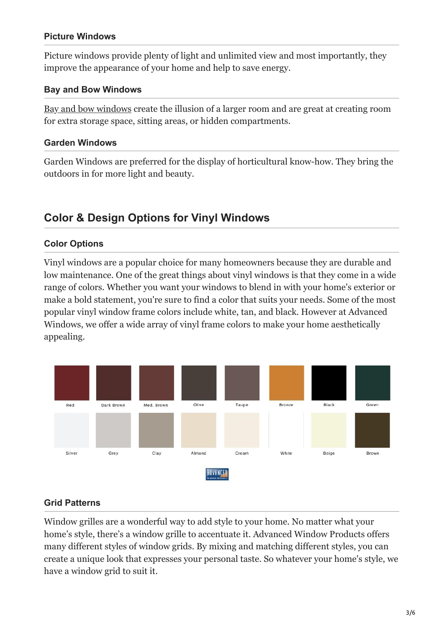#### **Picture Windows**

Picture windows provide plenty of light and unlimited view and most importantly, they improve the appearance of your home and help to save energy.

#### **Bay and Bow Windows**

[Bay and bow windows](https://advancedwindowsusa.com/bay-windows-vs-bow-windows) create the illusion of a larger room and are great at creating room for extra storage space, sitting areas, or hidden compartments.

#### **Garden Windows**

Garden Windows are preferred for the display of horticultural know-how. They bring the outdoors in for more light and beauty.

### **Color & Design Options for Vinyl Windows**

#### **Color Options**

Vinyl windows are a popular choice for many homeowners because they are durable and low maintenance. One of the great things about vinyl windows is that they come in a wide range of colors. Whether you want your windows to blend in with your home's exterior or make a bold statement, you're sure to find a color that suits your needs. Some of the most popular vinyl window frame colors include white, tan, and black. However at Advanced Windows, we offer a wide array of vinyl frame colors to make your home aesthetically appealing.



#### **Grid Patterns**

Window grilles are a wonderful way to add style to your home. No matter what your home's style, there's a window grille to accentuate it. Advanced Window Products offers many different styles of window grids. By mixing and matching different styles, you can create a unique look that expresses your personal taste. So whatever your home's style, we have a window grid to suit it.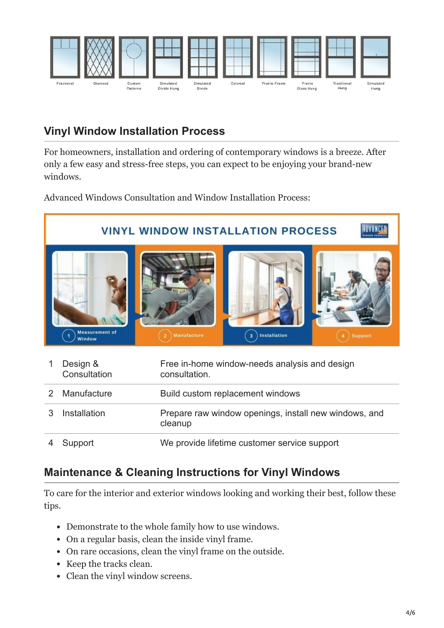

## **Vinyl Window Installation Process**

For homeowners, installation and ordering of contemporary windows is a breeze. After only a few easy and stress-free steps, you can expect to be enjoying your brand-new windows.

Advanced Windows Consultation and Window Installation Process:



## **Maintenance & Cleaning Instructions for Vinyl Windows**

To care for the interior and exterior windows looking and working their best, follow these tips.

- Demonstrate to the whole family how to use windows.
- On a regular basis, clean the inside vinyl frame.
- On rare occasions, clean the vinyl frame on the outside.
- Keep the tracks clean.
- Clean the vinyl window screens.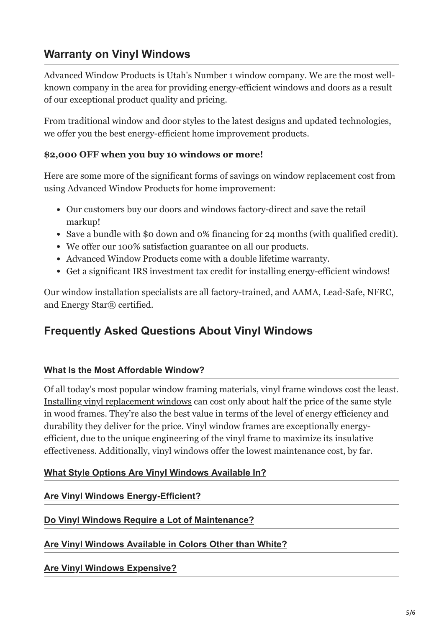### **Warranty on Vinyl Windows**

Advanced Window Products is Utah's Number 1 window company. We are the most wellknown company in the area for providing energy-efficient windows and doors as a result of our exceptional product quality and pricing.

From traditional window and door styles to the latest designs and updated technologies, we offer you the best energy-efficient home improvement products.

#### **\$2,000 OFF when you buy 10 windows or more!**

Here are some more of the significant forms of savings on window replacement cost from using Advanced Window Products for home improvement:

- Our customers buy our doors and windows factory-direct and save the retail markup!
- Save a bundle with \$0 down and 0% financing for 24 months (with qualified credit).
- We offer our 100% satisfaction guarantee on all our products.
- Advanced Window Products come with a double lifetime warranty.
- Get a significant IRS investment tax credit for installing energy-efficient windows!

Our window installation specialists are all factory-trained, and AAMA, Lead-Safe, NFRC, and Energy Star® certified.

### **Frequently Asked Questions About Vinyl Windows**

#### **[What Is the Most Affordable Window?](#page-4-0)**

<span id="page-4-0"></span>Of all today's most popular window framing materials, vinyl frame windows cost the least. [Installing vinyl replacement windows](https://advancedwindowsusa.com/vinyl-compared-to-wood-window-frames) can cost only about half the price of the same style in wood frames. They're also the best value in terms of the level of energy efficiency and durability they deliver for the price. Vinyl window frames are exceptionally energyefficient, due to the unique engineering of the vinyl frame to maximize its insulative effectiveness. Additionally, vinyl windows offer the lowest maintenance cost, by far.

#### **What Style Options Are Vinyl Windows Available In?**

#### **Are Vinyl Windows Energy-Efficient?**

#### **Do Vinyl Windows Require a Lot of Maintenance?**

#### **Are Vinyl Windows Available in Colors Other than White?**

**Are Vinyl Windows Expensive?**